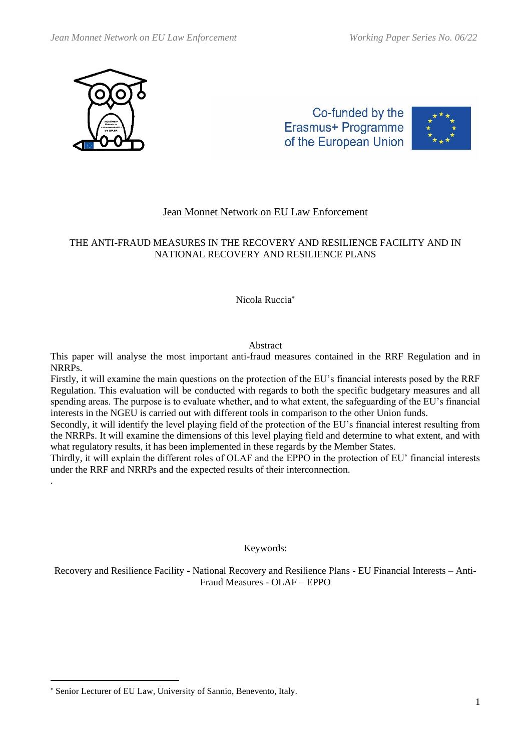

.

Co-funded by the Erasmus+ Programme of the European Union



# Jean Monnet Network on EU Law Enforcement

# THE ANTI-FRAUD MEASURES IN THE RECOVERY AND RESILIENCE FACILITY AND IN NATIONAL RECOVERY AND RESILIENCE PLANS

## Nicola Ruccia

### Abstract

This paper will analyse the most important anti-fraud measures contained in the RRF Regulation and in NRRPs.

Firstly, it will examine the main questions on the protection of the EU's financial interests posed by the RRF Regulation. This evaluation will be conducted with regards to both the specific budgetary measures and all spending areas. The purpose is to evaluate whether, and to what extent, the safeguarding of the EU's financial interests in the NGEU is carried out with different tools in comparison to the other Union funds.

Secondly, it will identify the level playing field of the protection of the EU's financial interest resulting from the NRRPs. It will examine the dimensions of this level playing field and determine to what extent, and with what regulatory results, it has been implemented in these regards by the Member States.

Thirdly, it will explain the different roles of OLAF and the EPPO in the protection of EU' financial interests under the RRF and NRRPs and the expected results of their interconnection.

Keywords:

Recovery and Resilience Facility - National Recovery and Resilience Plans - EU Financial Interests – Anti-Fraud Measures - OLAF – EPPO

Senior Lecturer of EU Law, University of Sannio, Benevento, Italy.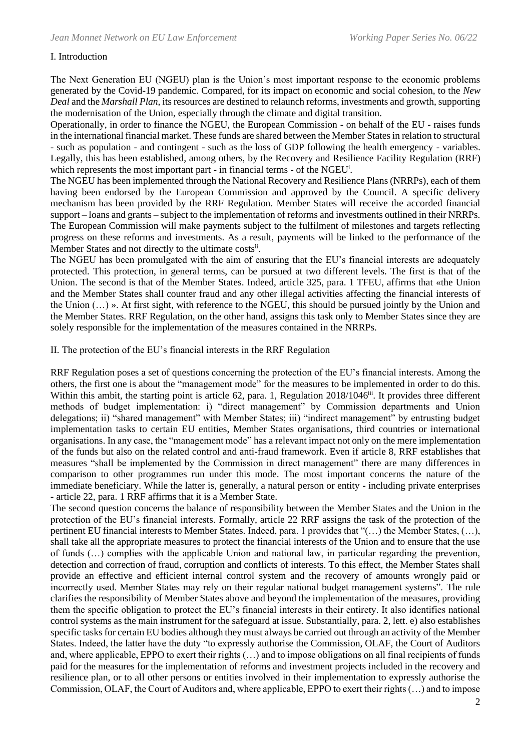#### I. Introduction

The Next Generation EU (NGEU) plan is the Union's most important response to the economic problems generated by the Covid-19 pandemic. Compared, for its impact on economic and social cohesion, to the *New Deal* and the *Marshall Plan*, its resources are destined to relaunch reforms, investments and growth, supporting the modernisation of the Union, especially through the climate and digital transition.

Operationally, in order to finance the NGEU, the European Commission - on behalf of the EU - raises funds in the international financial market. These funds are shared between the Member States in relation to structural - such as population - and contingent - such as the loss of GDP following the health emergency - variables. Legally, this has been established, among others, by the Recovery and Resilience Facility Regulation (RRF) which represents the most important part - in financial terms - of the NGEU<sup>i</sup>.

The NGEU has been implemented through the National Recovery and Resilience Plans (NRRPs), each of them having been endorsed by the European Commission and approved by the Council. A specific delivery mechanism has been provided by the RRF Regulation. Member States will receive the accorded financial support – loans and grants – subject to the implementation of reforms and investments outlined in their NRRPs. The European Commission will make payments subject to the fulfilment of milestones and targets reflecting progress on these reforms and investments. As a result, payments will be linked to the performance of the Member States and not directly to the ultimate costsii.

The NGEU has been promulgated with the aim of ensuring that the EU's financial interests are adequately protected. This protection, in general terms, can be pursued at two different levels. The first is that of the Union. The second is that of the Member States. Indeed, article 325, para. 1 TFEU, affirms that «the Union and the Member States shall counter fraud and any other illegal activities affecting the financial interests of the Union (…) ». At first sight, with reference to the NGEU, this should be pursued jointly by the Union and the Member States. RRF Regulation, on the other hand, assigns this task only to Member States since they are solely responsible for the implementation of the measures contained in the NRRPs.

II. The protection of the EU's financial interests in the RRF Regulation

RRF Regulation poses a set of questions concerning the protection of the EU's financial interests. Among the others, the first one is about the "management mode" for the measures to be implemented in order to do this. Within this ambit, the starting point is article 62, para. 1, Regulation 2018/1046<sup>iii</sup>. It provides three different methods of budget implementation: i) "direct management" by Commission departments and Union delegations; ii) "shared management" with Member States; iii) "indirect management" by entrusting budget implementation tasks to certain EU entities, Member States organisations, third countries or international organisations. In any case, the "management mode" has a relevant impact not only on the mere implementation of the funds but also on the related control and anti-fraud framework. Even if article 8, RRF establishes that measures "shall be implemented by the Commission in direct management" there are many differences in comparison to other programmes run under this mode. The most important concerns the nature of the immediate beneficiary. While the latter is, generally, a natural person or entity - including private enterprises - article 22, para. 1 RRF affirms that it is a Member State.

The second question concerns the balance of responsibility between the Member States and the Union in the protection of the EU's financial interests. Formally, article 22 RRF assigns the task of the protection of the pertinent EU financial interests to Member States. Indeed, para. 1 provides that "(…) the Member States, (…), shall take all the appropriate measures to protect the financial interests of the Union and to ensure that the use of funds (…) complies with the applicable Union and national law, in particular regarding the prevention, detection and correction of fraud, corruption and conflicts of interests. To this effect, the Member States shall provide an effective and efficient internal control system and the recovery of amounts wrongly paid or incorrectly used. Member States may rely on their regular national budget management systems". The rule clarifies the responsibility of Member States above and beyond the implementation of the measures, providing them the specific obligation to protect the EU's financial interests in their entirety. It also identifies national control systems as the main instrument for the safeguard at issue. Substantially, para. 2, lett. e) also establishes specific tasks for certain EU bodies although they must always be carried out through an activity of the Member States. Indeed, the latter have the duty "to expressly authorise the Commission, OLAF, the Court of Auditors and, where applicable, EPPO to exert their rights (…) and to impose obligations on all final recipients of funds paid for the measures for the implementation of reforms and investment projects included in the recovery and resilience plan, or to all other persons or entities involved in their implementation to expressly authorise the Commission, OLAF, the Court of Auditors and, where applicable, EPPO to exert their rights (…) and to impose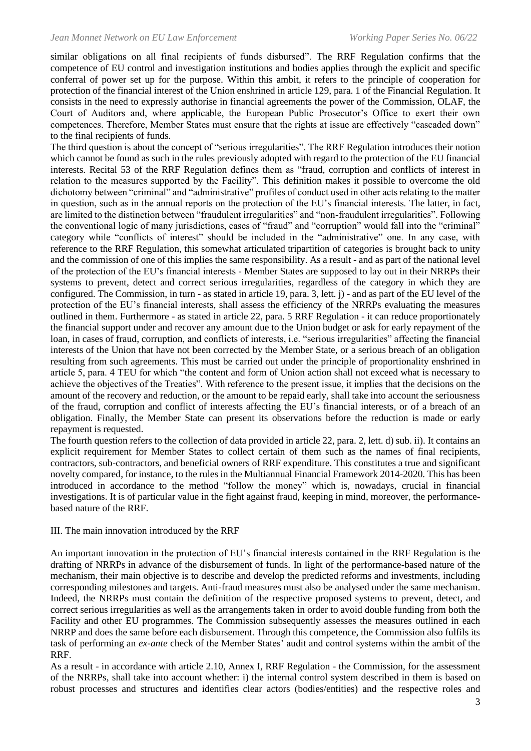similar obligations on all final recipients of funds disbursed". The RRF Regulation confirms that the competence of EU control and investigation institutions and bodies applies through the explicit and specific conferral of power set up for the purpose. Within this ambit, it refers to the principle of cooperation for protection of the financial interest of the Union enshrined in article 129, para. 1 of the Financial Regulation. It consists in the need to expressly authorise in financial agreements the power of the Commission, OLAF, the Court of Auditors and, where applicable, the European Public Prosecutor's Office to exert their own competences. Therefore, Member States must ensure that the rights at issue are effectively "cascaded down" to the final recipients of funds.

The third question is about the concept of "serious irregularities". The RRF Regulation introduces their notion which cannot be found as such in the rules previously adopted with regard to the protection of the EU financial interests. Recital 53 of the RRF Regulation defines them as "fraud, corruption and conflicts of interest in relation to the measures supported by the Facility". This definition makes it possible to overcome the old dichotomy between "criminal" and "administrative" profiles of conduct used in other acts relating to the matter in question, such as in the annual reports on the protection of the EU's financial interests. The latter, in fact, are limited to the distinction between "fraudulent irregularities" and "non-fraudulent irregularities". Following the conventional logic of many jurisdictions, cases of "fraud" and "corruption" would fall into the "criminal" category while "conflicts of interest" should be included in the "administrative" one. In any case, with reference to the RRF Regulation, this somewhat articulated tripartition of categories is brought back to unity and the commission of one of this implies the same responsibility. As a result - and as part of the national level of the protection of the EU's financial interests - Member States are supposed to lay out in their NRRPs their systems to prevent, detect and correct serious irregularities, regardless of the category in which they are configured. The Commission, in turn - as stated in article 19, para. 3, lett. j) - and as part of the EU level of the protection of the EU's financial interests, shall assess the efficiency of the NRRPs evaluating the measures outlined in them. Furthermore - as stated in article 22, para. 5 RRF Regulation - it can reduce proportionately the financial support under and recover any amount due to the Union budget or ask for early repayment of the loan, in cases of fraud, corruption, and conflicts of interests, i.e. "serious irregularities" affecting the financial interests of the Union that have not been corrected by the Member State, or a serious breach of an obligation resulting from such agreements. This must be carried out under the principle of proportionality enshrined in article 5, para. 4 TEU for which "the content and form of Union action shall not exceed what is necessary to achieve the objectives of the Treaties". With reference to the present issue, it implies that the decisions on the amount of the recovery and reduction, or the amount to be repaid early, shall take into account the seriousness of the fraud, corruption and conflict of interests affecting the EU's financial interests, or of a breach of an obligation. Finally, the Member State can present its observations before the reduction is made or early repayment is requested.

The fourth question refers to the collection of data provided in article 22, para. 2, lett. d) sub. ii). It contains an explicit requirement for Member States to collect certain of them such as the names of final recipients, contractors, sub-contractors, and beneficial owners of RRF expenditure. This constitutes a true and significant novelty compared, for instance, to the rules in the Multiannual Financial Framework 2014-2020. This has been introduced in accordance to the method "follow the money" which is, nowadays, crucial in financial investigations. It is of particular value in the fight against fraud, keeping in mind, moreover, the performancebased nature of the RRF.

#### III. The main innovation introduced by the RRF

An important innovation in the protection of EU's financial interests contained in the RRF Regulation is the drafting of NRRPs in advance of the disbursement of funds. In light of the performance-based nature of the mechanism, their main objective is to describe and develop the predicted reforms and investments, including corresponding milestones and targets. Anti-fraud measures must also be analysed under the same mechanism. Indeed, the NRRPs must contain the definition of the respective proposed systems to prevent, detect, and correct serious irregularities as well as the arrangements taken in order to avoid double funding from both the Facility and other EU programmes. The Commission subsequently assesses the measures outlined in each NRRP and does the same before each disbursement. Through this competence, the Commission also fulfils its task of performing an *ex-ante* check of the Member States' audit and control systems within the ambit of the RRF.

As a result - in accordance with article 2.10, Annex I, RRF Regulation - the Commission, for the assessment of the NRRPs, shall take into account whether: i) the internal control system described in them is based on robust processes and structures and identifies clear actors (bodies/entities) and the respective roles and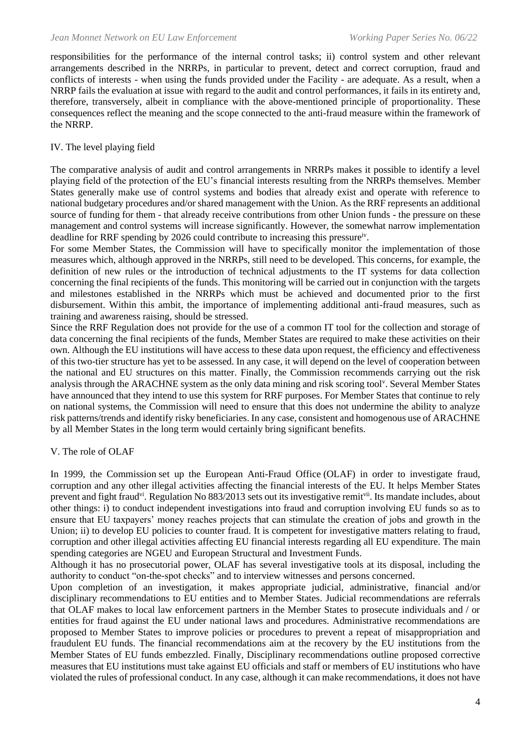responsibilities for the performance of the internal control tasks; ii) control system and other relevant arrangements described in the NRRPs, in particular to prevent, detect and correct corruption, fraud and conflicts of interests - when using the funds provided under the Facility - are adequate. As a result, when a NRRP fails the evaluation at issue with regard to the audit and control performances, it fails in its entirety and, therefore, transversely, albeit in compliance with the above-mentioned principle of proportionality. These consequences reflect the meaning and the scope connected to the anti-fraud measure within the framework of the NRRP.

#### IV. The level playing field

The comparative analysis of audit and control arrangements in NRRPs makes it possible to identify a level playing field of the protection of the EU's financial interests resulting from the NRRPs themselves. Member States generally make use of control systems and bodies that already exist and operate with reference to national budgetary procedures and/or shared management with the Union. As the RRF represents an additional source of funding for them - that already receive contributions from other Union funds - the pressure on these management and control systems will increase significantly. However, the somewhat narrow implementation deadline for RRF spending by 2026 could contribute to increasing this pressureiv.

For some Member States, the Commission will have to specifically monitor the implementation of those measures which, although approved in the NRRPs, still need to be developed. This concerns, for example, the definition of new rules or the introduction of technical adjustments to the IT systems for data collection concerning the final recipients of the funds. This monitoring will be carried out in conjunction with the targets and milestones established in the NRRPs which must be achieved and documented prior to the first disbursement. Within this ambit, the importance of implementing additional anti-fraud measures, such as training and awareness raising, should be stressed.

Since the RRF Regulation does not provide for the use of a common IT tool for the collection and storage of data concerning the final recipients of the funds, Member States are required to make these activities on their own. Although the EU institutions will have access to these data upon request, the efficiency and effectiveness of this two-tier structure has yet to be assessed. In any case, it will depend on the level of cooperation between the national and EU structures on this matter. Finally, the Commission recommends carrying out the risk analysis through the ARACHNE system as the only data mining and risk scoring tool<sup>v</sup>. Several Member States have announced that they intend to use this system for RRF purposes. For Member States that continue to rely on national systems, the Commission will need to ensure that this does not undermine the ability to analyze risk patterns/trends and identify risky beneficiaries. In any case, consistent and homogenous use of ARACHNE by all Member States in the long term would certainly bring significant benefits.

#### V. The role of OLAF

In 1999, the Commission set up the European Anti-Fraud Office (OLAF) in order to investigate fraud, corruption and any other illegal activities affecting the financial interests of the EU. It helps Member States prevent and fight fraud<sup>vi</sup>. Regulation No 883/2013 sets out its investigative remit<sup>vii</sup>. Its mandate includes, about other things: i) to conduct independent investigations into fraud and corruption involving EU funds so as to ensure that EU taxpayers' money reaches projects that can stimulate the creation of jobs and growth in the Union; ii) to develop EU policies to counter fraud. It is competent for investigative matters relating to fraud, corruption and other illegal activities affecting EU financial interests regarding all EU expenditure. The main spending categories are NGEU and European Structural and Investment Funds.

Although it has no prosecutorial power, OLAF has several investigative tools at its disposal, including the authority to conduct "on-the-spot checks" and to interview witnesses and persons concerned.

Upon completion of an investigation, it makes appropriate judicial, administrative, financial and/or disciplinary recommendations to EU entities and to Member States. Judicial recommendations are referrals that OLAF makes to local law enforcement partners in the Member States to prosecute individuals and / or entities for fraud against the EU under national laws and procedures. Administrative recommendations are proposed to Member States to improve policies or procedures to prevent a repeat of misappropriation and fraudulent EU funds. The financial recommendations aim at the recovery by the EU institutions from the Member States of EU funds embezzled. Finally, Disciplinary recommendations outline proposed corrective measures that EU institutions must take against EU officials and staff or members of EU institutions who have violated the rules of professional conduct. In any case, although it can make recommendations, it does not have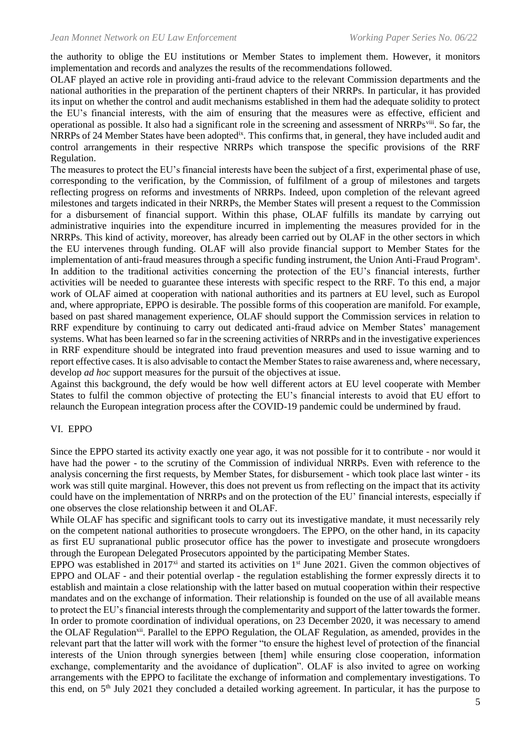the authority to oblige the EU institutions or Member States to implement them. However, it monitors implementation and records and analyzes the results of the recommendations followed.

OLAF played an active role in providing anti-fraud advice to the relevant Commission departments and the national authorities in the preparation of the pertinent chapters of their NRRPs. In particular, it has provided its input on whether the control and audit mechanisms established in them had the adequate solidity to protect the EU's financial interests, with the aim of ensuring that the measures were as effective, efficient and operational as possible. It also had a significant role in the screening and assessment of NRRPs<sup>viii</sup>. So far, the NRRPs of 24 Member States have been adopted<sup>ix</sup>. This confirms that, in general, they have included audit and control arrangements in their respective NRRPs which transpose the specific provisions of the RRF Regulation.

The measures to protect the EU's financial interests have been the subject of a first, experimental phase of use, corresponding to the verification, by the Commission, of fulfilment of a group of milestones and targets reflecting progress on reforms and investments of NRRPs. Indeed, upon completion of the relevant agreed milestones and targets indicated in their NRRPs, the Member States will present a request to the Commission for a disbursement of financial support. Within this phase, OLAF fulfills its mandate by carrying out administrative inquiries into the expenditure incurred in implementing the measures provided for in the NRRPs. This kind of activity, moreover, has already been carried out by OLAF in the other sectors in which the EU intervenes through funding. OLAF will also provide financial support to Member States for the implementation of anti-fraud measures through a specific funding instrument, the Union Anti-Fraud Program<sup>x</sup>. In addition to the traditional activities concerning the protection of the EU's financial interests, further activities will be needed to guarantee these interests with specific respect to the RRF. To this end, a major work of OLAF aimed at cooperation with national authorities and its partners at EU level, such as Europol and, where appropriate, EPPO is desirable. The possible forms of this cooperation are manifold. For example, based on past shared management experience, OLAF should support the Commission services in relation to RRF expenditure by continuing to carry out dedicated anti-fraud advice on Member States' management systems. What has been learned so far in the screening activities of NRRPs and in the investigative experiences in RRF expenditure should be integrated into fraud prevention measures and used to issue warning and to report effective cases. It is also advisable to contact the Member States to raise awareness and, where necessary, develop *ad hoc* support measures for the pursuit of the objectives at issue.

Against this background, the defy would be how well different actors at EU level cooperate with Member States to fulfil the common objective of protecting the EU's financial interests to avoid that EU effort to relaunch the European integration process after the COVID-19 pandemic could be undermined by fraud.

#### VI. EPPO

Since the EPPO started its activity exactly one year ago, it was not possible for it to contribute - nor would it have had the power - to the scrutiny of the Commission of individual NRRPs. Even with reference to the analysis concerning the first requests, by Member States, for disbursement - which took place last winter - its work was still quite marginal. However, this does not prevent us from reflecting on the impact that its activity could have on the implementation of NRRPs and on the protection of the EU' financial interests, especially if one observes the close relationship between it and OLAF.

While OLAF has specific and significant tools to carry out its investigative mandate, it must necessarily rely on the competent national authorities to prosecute wrongdoers. The EPPO, on the other hand, in its capacity as first EU supranational public prosecutor office has the power to investigate and prosecute wrongdoers through the European Delegated Prosecutors appointed by the participating Member States.

EPPO was established in 2017<sup>xi</sup> and started its activities on  $1<sup>st</sup>$  June 2021. Given the common objectives of EPPO and OLAF - and their potential overlap - the regulation establishing the former expressly directs it to establish and maintain a close relationship with the latter based on mutual cooperation within their respective mandates and on the exchange of information. Their relationship is founded on the use of all available means to protect the EU's financial interests through the complementarity and support of the latter towards the former. In order to promote coordination of individual operations, on 23 December 2020, it was necessary to amend the OLAF Regulation<sup>xii</sup>. Parallel to the EPPO Regulation, the OLAF Regulation, as amended, provides in the relevant part that the latter will work with the former "to ensure the highest level of protection of the financial interests of the Union through synergies between [them] while ensuring close cooperation, information exchange, complementarity and the avoidance of duplication". OLAF is also invited to agree on working arrangements with the EPPO to facilitate the exchange of information and complementary investigations. To this end, on 5th July 2021 they concluded a detailed working agreement. In particular, it has the purpose to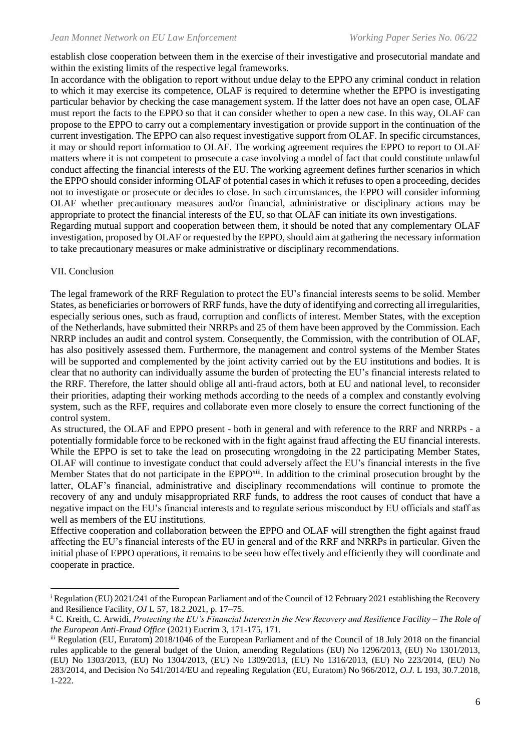establish close cooperation between them in the exercise of their investigative and prosecutorial mandate and within the existing limits of the respective legal frameworks.

In accordance with the obligation to report without undue delay to the EPPO any criminal conduct in relation to which it may exercise its competence, OLAF is required to determine whether the EPPO is investigating particular behavior by checking the case management system. If the latter does not have an open case, OLAF must report the facts to the EPPO so that it can consider whether to open a new case. In this way, OLAF can propose to the EPPO to carry out a complementary investigation or provide support in the continuation of the current investigation. The EPPO can also request investigative support from OLAF. In specific circumstances, it may or should report information to OLAF. The working agreement requires the EPPO to report to OLAF matters where it is not competent to prosecute a case involving a model of fact that could constitute unlawful conduct affecting the financial interests of the EU. The working agreement defines further scenarios in which the EPPO should consider informing OLAF of potential cases in which it refuses to open a proceeding, decides not to investigate or prosecute or decides to close. In such circumstances, the EPPO will consider informing OLAF whether precautionary measures and/or financial, administrative or disciplinary actions may be appropriate to protect the financial interests of the EU, so that OLAF can initiate its own investigations. Regarding mutual support and cooperation between them, it should be noted that any complementary OLAF investigation, proposed by OLAF or requested by the EPPO, should aim at gathering the necessary information to take precautionary measures or make administrative or disciplinary recommendations.

### VII. Conclusion

The legal framework of the RRF Regulation to protect the EU's financial interests seems to be solid. Member States, as beneficiaries or borrowers of RRF funds, have the duty of identifying and correcting all irregularities, especially serious ones, such as fraud, corruption and conflicts of interest. Member States, with the exception of the Netherlands, have submitted their NRRPs and 25 of them have been approved by the Commission. Each NRRP includes an audit and control system. Consequently, the Commission, with the contribution of OLAF, has also positively assessed them. Furthermore, the management and control systems of the Member States will be supported and complemented by the joint activity carried out by the EU institutions and bodies. It is clear that no authority can individually assume the burden of protecting the EU's financial interests related to the RRF. Therefore, the latter should oblige all anti-fraud actors, both at EU and national level, to reconsider their priorities, adapting their working methods according to the needs of a complex and constantly evolving system, such as the RFF, requires and collaborate even more closely to ensure the correct functioning of the control system.

As structured, the OLAF and EPPO present - both in general and with reference to the RRF and NRRPs - a potentially formidable force to be reckoned with in the fight against fraud affecting the EU financial interests. While the EPPO is set to take the lead on prosecuting wrongdoing in the 22 participating Member States, OLAF will continue to investigate conduct that could adversely affect the EU's financial interests in the five Member States that do not participate in the EPPO<sup>xiii</sup>. In addition to the criminal prosecution brought by the latter, OLAF's financial, administrative and disciplinary recommendations will continue to promote the recovery of any and unduly misappropriated RRF funds, to address the root causes of conduct that have a negative impact on the EU's financial interests and to regulate serious misconduct by EU officials and staff as well as members of the EU institutions.

Effective cooperation and collaboration between the EPPO and OLAF will strengthen the fight against fraud affecting the EU's financial interests of the EU in general and of the RRF and NRRPs in particular. Given the initial phase of EPPO operations, it remains to be seen how effectively and efficiently they will coordinate and cooperate in practice.

<sup>&</sup>lt;sup>i</sup> Regulation (EU) 2021/241 of the European Parliament and of the Council of 12 February 2021 establishing the Recovery and Resilience Facility, *OJ* L 57, 18.2.2021, p. 17–75.

ii C. Kreith, C. Arwidi, *Protecting the EU's Financial Interest in the New Recovery and Resilience Facility – The Role of the European Anti-Fraud Office* (2021) Eucrim 3, 171-175, 171.

iii Regulation (EU, Euratom) 2018/1046 of the European Parliament and of the Council of 18 July 2018 on the financial rules applicable to the general budget of the Union, amending Regulations (EU) No 1296/2013, (EU) No 1301/2013, (EU) No 1303/2013, (EU) No 1304/2013, (EU) No 1309/2013, (EU) No 1316/2013, (EU) No 223/2014, (EU) No 283/2014, and Decision No 541/2014/EU and repealing Regulation (EU, Euratom) No 966/2012, *O.J.* L 193, 30.7.2018, 1-222.